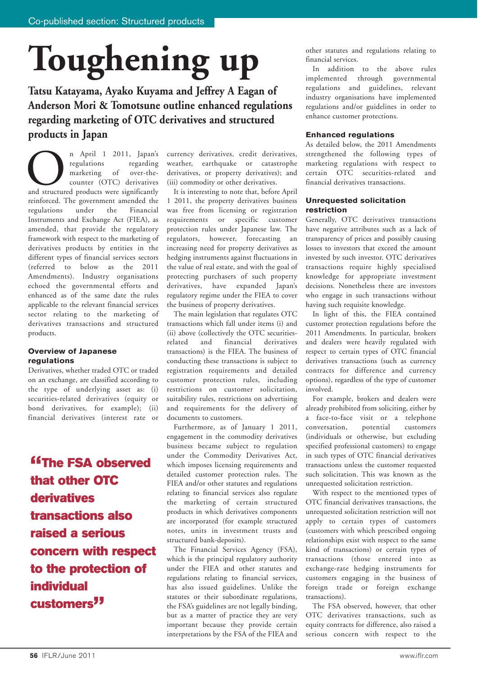# **Toughening up**

**Tatsu Katayama, Ayako Kuyama and Jeffrey A Eagan of Anderson Mori & Tomotsune outline enhanced regulations regarding marketing of OTC derivatives and structured products in Japan**

n April 1 2011, Japan's<br>
regulations regarding<br>
marketing of over-the-<br>
counter (OTC) derivatives<br>
and structured products were significantly regulations regarding marketing of over-thecounter (OTC) derivatives reinforced. The government amended the regulations under the Financial Instruments and Exchange Act (FIEA), as amended, that provide the regulatory framework with respect to the marketing of derivatives products by entities in the different types of financial services sectors (referred to below as the 2011 Amendments). Industry organisations echoed the governmental efforts and enhanced as of the same date the rules applicable to the relevant financial services sector relating to the marketing of derivatives transactions and structured products.

### **Overview of Japanese regulations**

Derivatives, whether traded OTC or traded on an exchange, are classified according to the type of underlying asset as: (i) securities-related derivatives (equity or bond derivatives, for example); (ii) financial derivatives (interest rate or

*<u>"The FSA observed</u>* **that other OTC derivatives transactions also raised a serious concern with respect to the protection of individual customers"**

currency derivatives, credit derivatives, weather, earthquake or catastrophe derivatives, or property derivatives); and (iii) commodity or other derivatives.

It is interesting to note that, before April 1 2011, the property derivatives business was free from licensing or registration requirements or specific customer protection rules under Japanese law. The regulators, however, forecasting an increasing need for property derivatives as hedging instruments against fluctuations in the value of real estate, and with the goal of protecting purchasers of such property derivatives, have expanded Japan's regulatory regime under the FIEA to cover the business of property derivatives.

The main legislation that regulates OTC transactions which fall under items (i) and (ii) above (collectively the OTC securitiesrelated and financial derivatives transactions) is the FIEA. The business of conducting these transactions is subject to registration requirements and detailed customer protection rules, including restrictions on customer solicitation, suitability rules, restrictions on advertising and requirements for the delivery of documents to customers.

Furthermore, as of January 1 2011, engagement in the commodity derivatives business became subject to regulation under the Commodity Derivatives Act, which imposes licensing requirements and detailed customer protection rules. The FIEA and/or other statutes and regulations relating to financial services also regulate the marketing of certain structured products in which derivatives components are incorporated (for example structured notes, units in investment trusts and structured bank-deposits).

The Financial Services Agency (FSA), which is the principal regulatory authority under the FIEA and other statutes and regulations relating to financial services, has also issued guidelines. Unlike the statutes or their subordinate regulations, the FSA's guidelines are not legally binding, but as a matter of practice they are very important because they provide certain interpretations by the FSA of the FIEA and

other statutes and regulations relating to financial services.

In addition to the above rules implemented through governmental regulations and guidelines, relevant industry organisations have implemented regulations and/or guidelines in order to enhance customer protections.

### **Enhanced regulations**

As detailed below, the 2011 Amendments strengthened the following types of marketing regulations with respect to certain OTC securities-related and financial derivatives transactions.

### **Unrequested solicitation restriction**

Generally, OTC derivatives transactions have negative attributes such as a lack of transparency of prices and possibly causing losses to investors that exceed the amount invested by such investor. OTC derivatives transactions require highly specialised knowledge for appropriate investment decisions. Nonetheless there are investors who engage in such transactions without having such requisite knowledge.

In light of this, the FIEA contained customer protection regulations before the 2011 Amendments. In particular, brokers and dealers were heavily regulated with respect to certain types of OTC financial derivatives transactions (such as currency contracts for difference and currency options), regardless of the type of customer involved.

For example, brokers and dealers were already prohibited from soliciting, either by a face-to-face visit or a telephone conversation, potential customers (individuals or otherwise, but excluding specified professional customers) to engage in such types of OTC financial derivatives transactions unless the customer requested such solicitation. This was known as the unrequested solicitation restriction.

With respect to the mentioned types of OTC financial derivatives transactions, the unrequested solicitation restriction will not apply to certain types of customers (customers with which prescribed ongoing relationships exist with respect to the same kind of transactions) or certain types of transactions (those entered into as exchange-rate hedging instruments for customers engaging in the business of foreign trade or foreign exchange transactions).

The FSA observed, however, that other OTC derivatives transactions, such as equity contracts for difference, also raised a serious concern with respect to the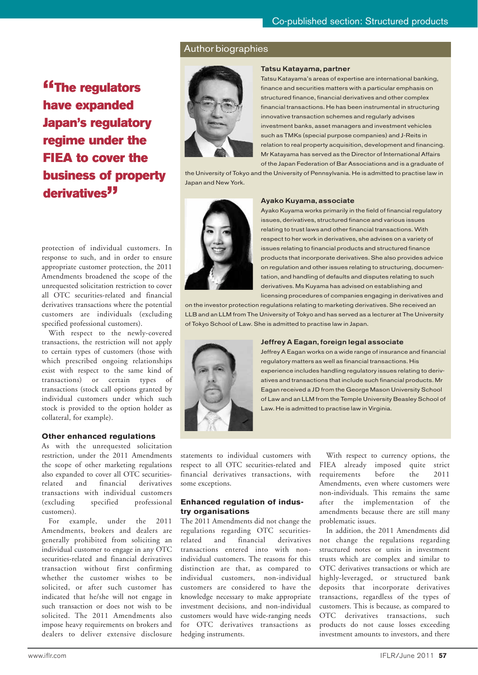### Author biographies

**"The regulators have expanded Japan's regulatory regime under the FIEA to cover the business of property derivatives"**



#### **Tatsu Katayama, partner**

Tatsu Katayama's areas of expertise are international banking, finance and securities matters with a particular emphasis on structured finance, financial derivatives and other complex financial transactions. He has been instrumental in structuring innovative transaction schemes and regularly advises investment banks, asset managers and investment vehicles such as TMKs (special purpose companies) and J-Reits in relation to real property acquisition, development and financing. Mr Katayama has served as the Director of International Affairs of the Japan Federation of Bar Associations and is a graduate of

the University of Tokyo and the University of Pennsylvania. He is admitted to practise law in Japan and New York.



### **Ayako Kuyama, associate**

protection of individual customers. In response to such, and in order to ensure appropriate customer protection, the 2011 Amendments broadened the scope of the unrequested solicitation restriction to cover all OTC securities-related and financial derivatives transactions where the potential customers are individuals (excluding specified professional customers).

With respect to the newly-covered transactions, the restriction will not apply to certain types of customers (those with which prescribed ongoing relationships exist with respect to the same kind of transactions) or certain types of transactions (stock call options granted by individual customers under which such stock is provided to the option holder as collateral, for example).

### **Other enhanced regulations**

As with the unrequested solicitation restriction, under the 2011 Amendments the scope of other marketing regulations also expanded to cover all OTC securitiesrelated and financial derivatives transactions with individual customers (excluding specified professional customers).

For example, under the 2011 Amendments, brokers and dealers are generally prohibited from soliciting an individual customer to engage in any OTC securities-related and financial derivatives transaction without first confirming whether the customer wishes to be solicited, or after such customer has indicated that he/she will not engage in such transaction or does not wish to be solicited. The 2011 Amendments also impose heavy requirements on brokers and dealers to deliver extensive disclosure

Ayako Kuyama works primarily in the field of financial regulatory issues, derivatives, structured finance and various issues relating to trust laws and other financial transactions. With respect to her work in derivatives, she advises on a variety of issues relating to financial products and structured finance products that incorporate derivatives. She also provides advice on regulation and other issues relating to structuring, documentation, and handling of defaults and disputes relating to such derivatives. Ms Kuyama has advised on establishing and licensing procedures of companies engaging in derivatives and

on the investor protection regulations relating to marketing derivatives. She received an LLB and an LLM from The University of Tokyo and has served as a lecturer at The University of Tokyo School of Law. She is admitted to practise law in Japan.



### **Jeffrey A Eagan, foreign legal associate**

Jeffrey A Eagan works on a wide range of insurance and financial regulatory matters as well as financial transactions. His experience includes handling regulatory issues relating to derivatives and transactions that include such financial products. Mr Eagan received a JD from the George Mason University School of Law and an LLM from the Temple University Beasley School of Law. He is admitted to practise law in Virginia.

statements to individual customers with respect to all OTC securities-related and financial derivatives transactions, with some exceptions.

### **Enhanced regulation of industry organisations**

The 2011 Amendments did not change the regulations regarding OTC securitiesrelated and financial derivatives transactions entered into with nonindividual customers. The reasons for this distinction are that, as compared to individual customers, non-individual customers are considered to have the knowledge necessary to make appropriate investment decisions, and non-individual customers would have wide-ranging needs for OTC derivatives transactions as hedging instruments.

With respect to currency options, the FIEA already imposed quite strict requirements before the 2011 Amendments, even where customers were non-individuals. This remains the same after the implementation of the amendments because there are still many problematic issues.

In addition, the 2011 Amendments did not change the regulations regarding structured notes or units in investment trusts which are complex and similar to OTC derivatives transactions or which are highly-leveraged, or structured bank deposits that incorporate derivatives transactions, regardless of the types of customers. This is because, as compared to OTC derivatives transactions, such products do not cause losses exceeding investment amounts to investors, and there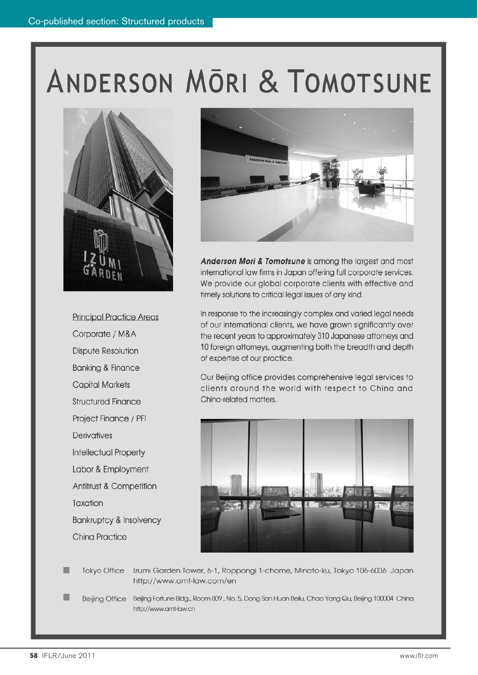## ANDERSON MORI & TOMOTSUNE



**Principal Practice Areas** Corporate / M&A **Dispute Resolution Banking & Finance Capital Markets Structured Finance** Project Finance / PFI Derivatives Intellectual Property Labor & Employment Antitrust & Competition Taxation **Bankruptcy & Insolvency China Practice** 



Anderson Mori & Tomotsune is among the largest and most international law firms in Japan offering full corporate services. We provide our global corporate clients with effective and timely solutions to critical legal issues of any kind.

In response to the increasingly complex and varied legal needs of our international clients, we have grown significantly over the recent years to approximately 310 Japanese attorneys and 10 foreign attorneys, augmenting both the breadth and depth of expertise of our practice.

Our Beijing office provides comprehensive legal services to clients around the world with respect to China and China-related matters.



Tokyo Office Izumi Garden Tower, 6-1, Roppongi 1-chome, Minato-ku, Tokyo 106-6036 Japan http://www.amt-law.com/en

Beijing Office Beijing Fortune Bldg., Room 809, No. 5, Dong San Huan Beilu, Chao Yang Qu, Beijing 100004 China http://www.amt-law.cn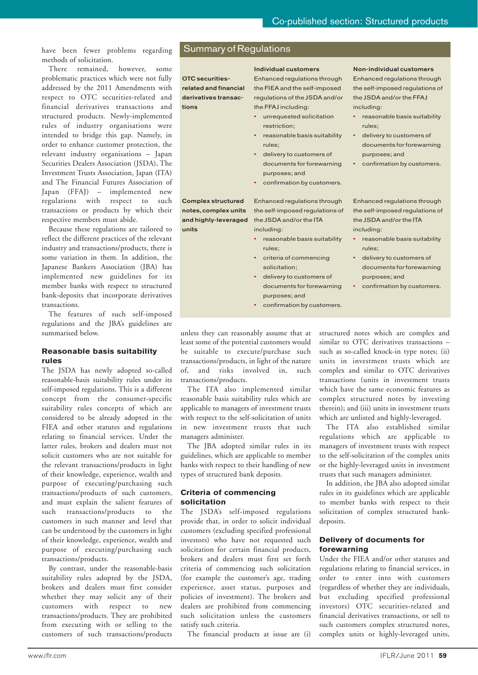have been fewer problems regarding methods of solicitation.

There remained, however, some problematic practices which were not fully addressed by the 2011 Amendments with respect to OTC securities-related and financial derivatives transactions and structured products. Newly-implemented rules of industry organisations were intended to bridge this gap. Namely, in order to enhance customer protection, the relevant industry organisations – Japan Securities Dealers Association (JSDA), The Investment Trusts Association, Japan (ITA) and The Financial Futures Association of Japan (FFAJ) – implemented new regulations with respect to such transactions or products by which their respective members must abide.

Because these regulations are tailored to reflect the different practices of the relevant industry and transactions/products, there is some variation in them. In addition, the Japanese Bankers Association (JBA) has implemented new guidelines for its member banks with respect to structured bank-deposits that incorporate derivatives transactions.

The features of such self-imposed regulations and the JBA's guidelines are summarised below.

### **Reasonable basis suitability rules**

The JSDA has newly adopted so-called reasonable-basis suitability rules under its self-imposed regulations. This is a different concept from the consumer-specific suitability rules concepts of which are considered to be already adopted in the FIEA and other statutes and regulations relating to financial services. Under the latter rules, brokers and dealers must not solicit customers who are not suitable for the relevant transactions/products in light of their knowledge, experience, wealth and purpose of executing/purchasing such transactions/products of such customers, and must explain the salient features of such transactions/products to the customers in such manner and level that can be understood by the customers in light of their knowledge, experience, wealth and purpose of executing/purchasing such transactions/products.

By contrast, under the reasonable-basis suitability rules adopted by the JSDA, brokers and dealers must first consider whether they may solicit any of their customers with respect to new transactions/products. They are prohibited from executing with or selling to the customers of such transactions/products

### Summary of Regulations

**OTC securitiesrelated and financial derivatives transactions**

**Complex structured notes, complex units and highly-leveraged**

**units**

### **Individual customers**

Enhanced regulations through the FIEA and the self-imposed regulations of the JSDA and/or the FFAJ including:

- unrequested solicitation restriction;
- reasonable basis suitability rules;
- delivery to customers of documents for forewarning purposes; and
- confirmation by customers.

Enhanced regulations through the self-imposed regulations of the JSDA and/or the ITA including:

- 
- reasonable basis suitability rules;
- criteria of commencing solicitation;
- delivery to customers of documents for forewarning purposes; and
- confirmation by customers.

Enhanced regulations through the self-imposed regulations of the JSDA and/or the FFAJ

**Non-individual customers**

- including: • reasonable basis suitability rules;
- delivery to customers of documents for forewarning purposes; and
- confirmation by customers.

Enhanced regulations through the self-imposed regulations of the JSDA and/or the ITA including:

- reasonable basis suitability rules;
- delivery to customers of documents for forewarning purposes; and
- confirmation by customers.

unless they can reasonably assume that at least some of the potential customers would be suitable to execute/purchase such transactions/products, in light of the nature of, and risks involved in, such transactions/products.

The ITA also implemented similar reasonable basis suitability rules which are applicable to managers of investment trusts with respect to the self-solicitation of units in new investment trusts that such managers administer.

The JBA adopted similar rules in its guidelines, which are applicable to member banks with respect to their handling of new types of structured bank deposits.

### **Criteria of commencing solicitation**

The JSDA's self-imposed regulations provide that, in order to solicit individual customers (excluding specified professional investors) who have not requested such solicitation for certain financial products, brokers and dealers must first set forth criteria of commencing such solicitation (for example the customer's age, trading experience, asset status, purposes and policies of investment). The brokers and dealers are prohibited from commencing such solicitation unless the customers satisfy such criteria.

The financial products at issue are (i)

structured notes which are complex and similar to OTC derivatives transactions – such as so-called knock-in type notes; (ii) units in investment trusts which are complex and similar to OTC derivatives transactions (units in investment trusts which have the same economic features as complex structured notes by investing therein); and (iii) units in investment trusts which are unlisted and highly-leveraged.

The ITA also established similar regulations which are applicable to managers of investment trusts with respect to the self-solicitation of the complex units or the highly-leveraged units in investment trusts that such managers administer.

In addition, the JBA also adopted similar rules in its guidelines which are applicable to member banks with respect to their solicitation of complex structured bankdeposits.

### **Delivery of documents for forewarning**

Under the FIEA and/or other statutes and regulations relating to financial services, in order to enter into with customers (regardless of whether they are individuals, but excluding specified professional investors) OTC securities-related and financial derivatives transactions, or sell to such customers complex structured notes, complex units or highly-leveraged units,